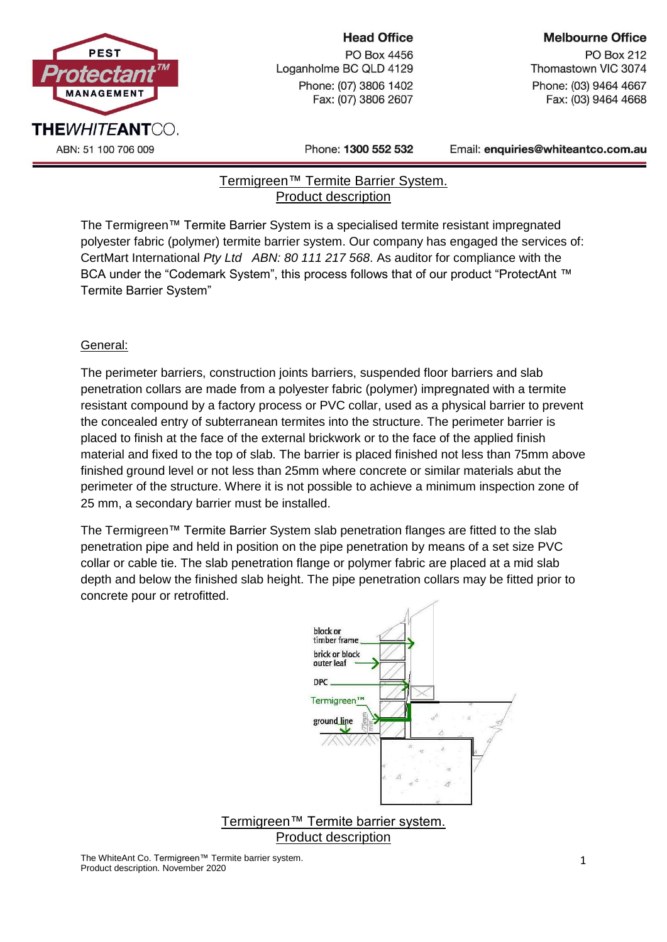

### **Head Office**

PO Box 4456 Loganholme BC QLD 4129 Phone: (07) 3806 1402 Fax: (07) 3806 2607

**PO Box 212** Thomastown VIC 3074 Phone: (03) 9464 4667 Fax: (03) 9464 4668

Phone: 1300 552 532

Email: enquiries@whiteantco.com.au

## Termigreen™ Termite Barrier System. Product description

The Termigreen™ Termite Barrier System is a specialised termite resistant impregnated polyester fabric (polymer) termite barrier system. Our company has engaged the services of: CertMart International *Pty Ltd ABN: 80 111 217 568*. As auditor for compliance with the BCA under the "Codemark System", this process follows that of our product "ProtectAnt ™ Termite Barrier System"

# General:

The perimeter barriers, construction joints barriers, suspended floor barriers and slab penetration collars are made from a polyester fabric (polymer) impregnated with a termite resistant compound by a factory process or PVC collar, used as a physical barrier to prevent the concealed entry of subterranean termites into the structure. The perimeter barrier is placed to finish at the face of the external brickwork or to the face of the applied finish material and fixed to the top of slab. The barrier is placed finished not less than 75mm above finished ground level or not less than 25mm where concrete or similar materials abut the perimeter of the structure. Where it is not possible to achieve a minimum inspection zone of 25 mm, a secondary barrier must be installed.

The Termigreen™ Termite Barrier System slab penetration flanges are fitted to the slab penetration pipe and held in position on the pipe penetration by means of a set size PVC collar or cable tie. The slab penetration flange or polymer fabric are placed at a mid slab depth and below the finished slab height. The pipe penetration collars may be fitted prior to concrete pour or retrofitted.



Product description